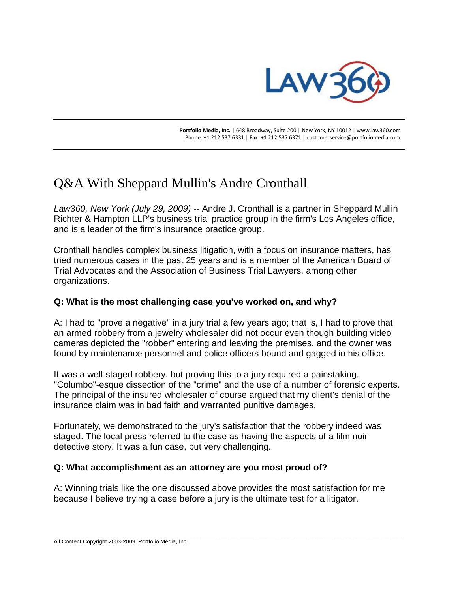

 **Portfolio Media, Inc.** | 648 Broadway, Suite 200 | New York, NY 10012 | www.law360.com Phone: +1 212 537 6331 | Fax: +1 212 537 6371 | customerservice@portfoliomedia.com

# Q&A With Sheppard Mullin's Andre Cronthall

*Law360, New York (July 29, 2009)* -- Andre J. Cronthall is a partner in Sheppard Mullin Richter & Hampton LLP's business trial practice group in the firm's Los Angeles office, and is a leader of the firm's insurance practice group.

Cronthall handles complex business litigation, with a focus on insurance matters, has tried numerous cases in the past 25 years and is a member of the American Board of Trial Advocates and the Association of Business Trial Lawyers, among other organizations.

## **Q: What is the most challenging case you've worked on, and why?**

A: I had to "prove a negative" in a jury trial a few years ago; that is, I had to prove that an armed robbery from a jewelry wholesaler did not occur even though building video cameras depicted the "robber" entering and leaving the premises, and the owner was found by maintenance personnel and police officers bound and gagged in his office.

It was a well-staged robbery, but proving this to a jury required a painstaking, "Columbo"-esque dissection of the "crime" and the use of a number of forensic experts. The principal of the insured wholesaler of course argued that my client's denial of the insurance claim was in bad faith and warranted punitive damages.

Fortunately, we demonstrated to the jury's satisfaction that the robbery indeed was staged. The local press referred to the case as having the aspects of a film noir detective story. It was a fun case, but very challenging.

#### **Q: What accomplishment as an attorney are you most proud of?**

A: Winning trials like the one discussed above provides the most satisfaction for me because I believe trying a case before a jury is the ultimate test for a litigator.

\_\_\_\_\_\_\_\_\_\_\_\_\_\_\_\_\_\_\_\_\_\_\_\_\_\_\_\_\_\_\_\_\_\_\_\_\_\_\_\_\_\_\_\_\_\_\_\_\_\_\_\_\_\_\_\_\_\_\_\_\_\_\_\_\_\_\_\_\_\_\_\_\_\_\_\_\_\_\_\_\_\_\_\_\_\_\_\_\_\_\_\_\_\_\_\_\_\_\_\_\_\_\_\_\_\_\_\_\_\_\_\_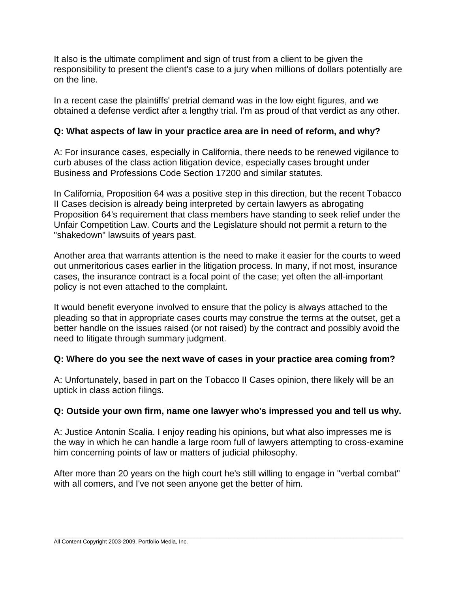It also is the ultimate compliment and sign of trust from a client to be given the responsibility to present the client's case to a jury when millions of dollars potentially are on the line.

In a recent case the plaintiffs' pretrial demand was in the low eight figures, and we obtained a defense verdict after a lengthy trial. I'm as proud of that verdict as any other.

## **Q: What aspects of law in your practice area are in need of reform, and why?**

A: For insurance cases, especially in California, there needs to be renewed vigilance to curb abuses of the class action litigation device, especially cases brought under Business and Professions Code Section 17200 and similar statutes.

In California, Proposition 64 was a positive step in this direction, but the recent Tobacco II Cases decision is already being interpreted by certain lawyers as abrogating Proposition 64's requirement that class members have standing to seek relief under the Unfair Competition Law. Courts and the Legislature should not permit a return to the "shakedown" lawsuits of years past.

Another area that warrants attention is the need to make it easier for the courts to weed out unmeritorious cases earlier in the litigation process. In many, if not most, insurance cases, the insurance contract is a focal point of the case; yet often the all-important policy is not even attached to the complaint.

It would benefit everyone involved to ensure that the policy is always attached to the pleading so that in appropriate cases courts may construe the terms at the outset, get a better handle on the issues raised (or not raised) by the contract and possibly avoid the need to litigate through summary judgment.

## **Q: Where do you see the next wave of cases in your practice area coming from?**

A: Unfortunately, based in part on the Tobacco II Cases opinion, there likely will be an uptick in class action filings.

# **Q: Outside your own firm, name one lawyer who's impressed you and tell us why.**

A: Justice Antonin Scalia. I enjoy reading his opinions, but what also impresses me is the way in which he can handle a large room full of lawyers attempting to cross-examine him concerning points of law or matters of judicial philosophy.

After more than 20 years on the high court he's still willing to engage in "verbal combat" with all comers, and I've not seen anyone get the better of him.